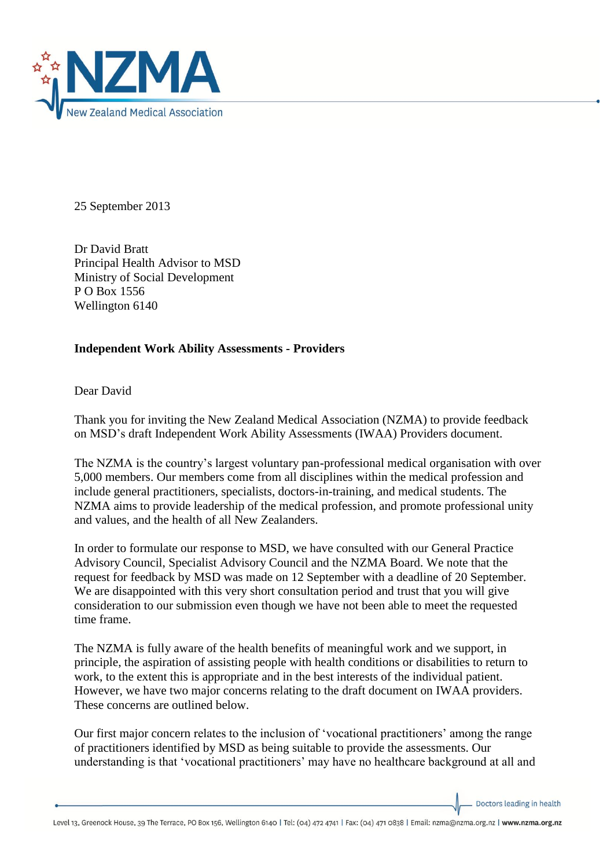

25 September 2013

Dr David Bratt Principal Health Advisor to MSD Ministry of Social Development P O Box 1556 Wellington 6140

## **Independent Work Ability Assessments - Providers**

Dear David

Thank you for inviting the New Zealand Medical Association (NZMA) to provide feedback on MSD's draft Independent Work Ability Assessments (IWAA) Providers document.

The NZMA is the country's largest voluntary pan-professional medical organisation with over 5,000 members. Our members come from all disciplines within the medical profession and include general practitioners, specialists, doctors-in-training, and medical students. The NZMA aims to provide leadership of the medical profession, and promote professional unity and values, and the health of all New Zealanders.

In order to formulate our response to MSD, we have consulted with our General Practice Advisory Council, Specialist Advisory Council and the NZMA Board. We note that the request for feedback by MSD was made on 12 September with a deadline of 20 September. We are disappointed with this very short consultation period and trust that you will give consideration to our submission even though we have not been able to meet the requested time frame.

The NZMA is fully aware of the health benefits of meaningful work and we support, in principle, the aspiration of assisting people with health conditions or disabilities to return to work, to the extent this is appropriate and in the best interests of the individual patient. However, we have two major concerns relating to the draft document on IWAA providers. These concerns are outlined below.

Our first major concern relates to the inclusion of 'vocational practitioners' among the range of practitioners identified by MSD as being suitable to provide the assessments. Our understanding is that 'vocational practitioners' may have no healthcare background at all and

Doctors leading in health